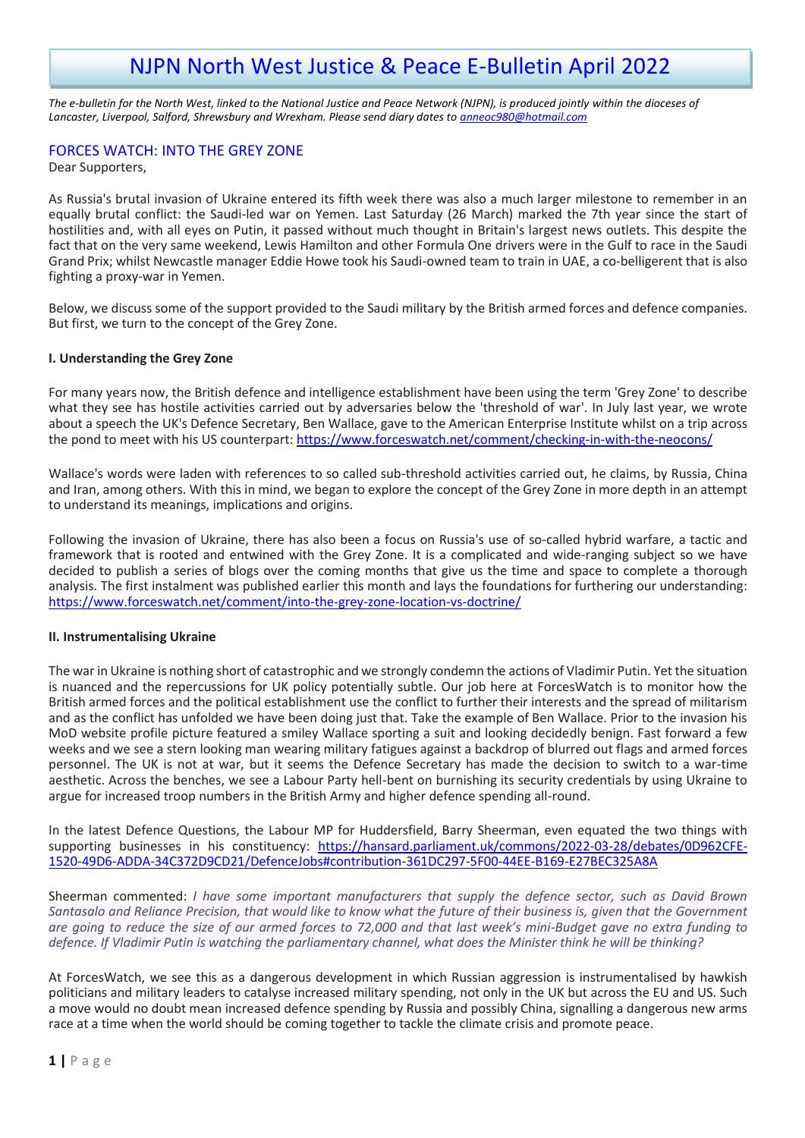# NJPN North West Justice & Peace E-Bulletin April 2022

*The e-bulletin for the North West, linked to the National Justice and Peace Network (NJPN), is produced jointly within the dioceses of Lancaster, Liverpool, Salford, Shrewsbury and Wrexham. Please send diary dates to [anneoc980@hotmail.com](mailto:anneoc980@hotmail.com)*

## FORCES WATCH: INTO THE GREY ZONE

Dear Supporters,

As Russia's brutal invasion of Ukraine entered its fifth week there was also a much larger milestone to remember in an equally brutal conflict: the Saudi-led war on Yemen. Last Saturday (26 March) marked the 7th year since the start of hostilities and, with all eyes on Putin, it passed without much thought in Britain's largest news outlets. This despite the fact that on the very same weekend, Lewis Hamilton and other Formula One drivers were in the Gulf to race in the Saudi Grand Prix; whilst Newcastle manager Eddie Howe took his Saudi-owned team to train in UAE, a co-belligerent that is also fighting a proxy-war in Yemen.

Below, we discuss some of the support provided to the Saudi military by the British armed forces and defence companies. But first, we turn to the concept of the Grey Zone.

## **I. Understanding the Grey Zone**

For many years now, the British defence and intelligence establishment have been using the term 'Grey Zone' to describe what they see has hostile activities carried out by adversaries below the 'threshold of war'. In July last year, we wrote about a speech the UK's Defence Secretary, Ben Wallace, gave to the American Enterprise Institute whilst on a trip across the pond to meet with his US counterpart: https://www.forceswatch.net/comment/checking-in-with-the-neocons/

Wallace's words were laden with references to so called sub-threshold activities carried out, he claims, by Russia, China and Iran, among others. With this in mind, we began to explore the concept of the Grey Zone in more depth in an attempt to understand its meanings, implications and origins.

Following the invasion of Ukraine, there has also been a focus on Russia's use of so-called hybrid warfare, a tactic and framework that is rooted and entwined with the Grey Zone. It is a complicated and wide-ranging subject so we have decided to publish a series of blogs over the coming months that give us the time and space to complete a thorough analysis. The first instalment was published earlier this month and lays the foundations for furthering our understanding: <https://www.forceswatch.net/comment/into-the-grey-zone-location-vs-doctrine/>

#### **II. Instrumentalising Ukraine**

The war in Ukraine is nothing short of catastrophic and we strongly condemn the actions of Vladimir Putin. Yet the situation is nuanced and the repercussions for UK policy potentially subtle. Our job here at ForcesWatch is to monitor how the British armed forces and the political establishment use the conflict to further their interests and the spread of militarism and as the conflict has unfolded we have been doing just that. Take the example of Ben Wallace. Prior to the invasion his MoD website profile picture featured a smiley Wallace sporting a suit and looking decidedly benign. Fast forward a few weeks and we see a stern looking man wearing military fatigues against a backdrop of blurred out flags and armed forces personnel. The UK is not at war, but it seems the Defence Secretary has made the decision to switch to a war-time aesthetic. Across the benches, we see a Labour Party hell-bent on burnishing its security credentials by using Ukraine to argue for increased troop numbers in the British Army and higher defence spending all-round.

In the latest Defence Questions, the Labour MP for Huddersfield, Barry Sheerman, even equated the two things with supporting businesses in his constituency: [https://hansard.parliament.uk/commons/2022-03-28/debates/0D962CFE-](https://hansard.parliament.uk/commons/2022-03-28/debates/0D962CFE-1520-49D6-ADDA-34C372D9CD21/DefenceJobs#contribution-361DC297-5F00-44EE-B169-E27BEC325A8A)[1520-49D6-ADDA-34C372D9CD21/DefenceJobs#contribution-361DC297-5F00-44EE-B169-E27BEC325A8A](https://hansard.parliament.uk/commons/2022-03-28/debates/0D962CFE-1520-49D6-ADDA-34C372D9CD21/DefenceJobs#contribution-361DC297-5F00-44EE-B169-E27BEC325A8A)

Sheerman commented: *I have some important manufacturers that supply the defence sector, such as David Brown Santasalo and Reliance Precision, that would like to know what the future of their business is, given that the Government are going to reduce the size of our armed forces to 72,000 and that last week's mini-Budget gave no extra funding to defence. If Vladimir Putin is watching the parliamentary channel, what does the Minister think he will be thinking?*

At ForcesWatch, we see this as a dangerous development in which Russian aggression is instrumentalised by hawkish politicians and military leaders to catalyse increased military spending, not only in the UK but across the EU and US. Such a move would no doubt mean increased defence spending by Russia and possibly China, signalling a dangerous new arms race at a time when the world should be coming together to tackle the climate crisis and promote peace.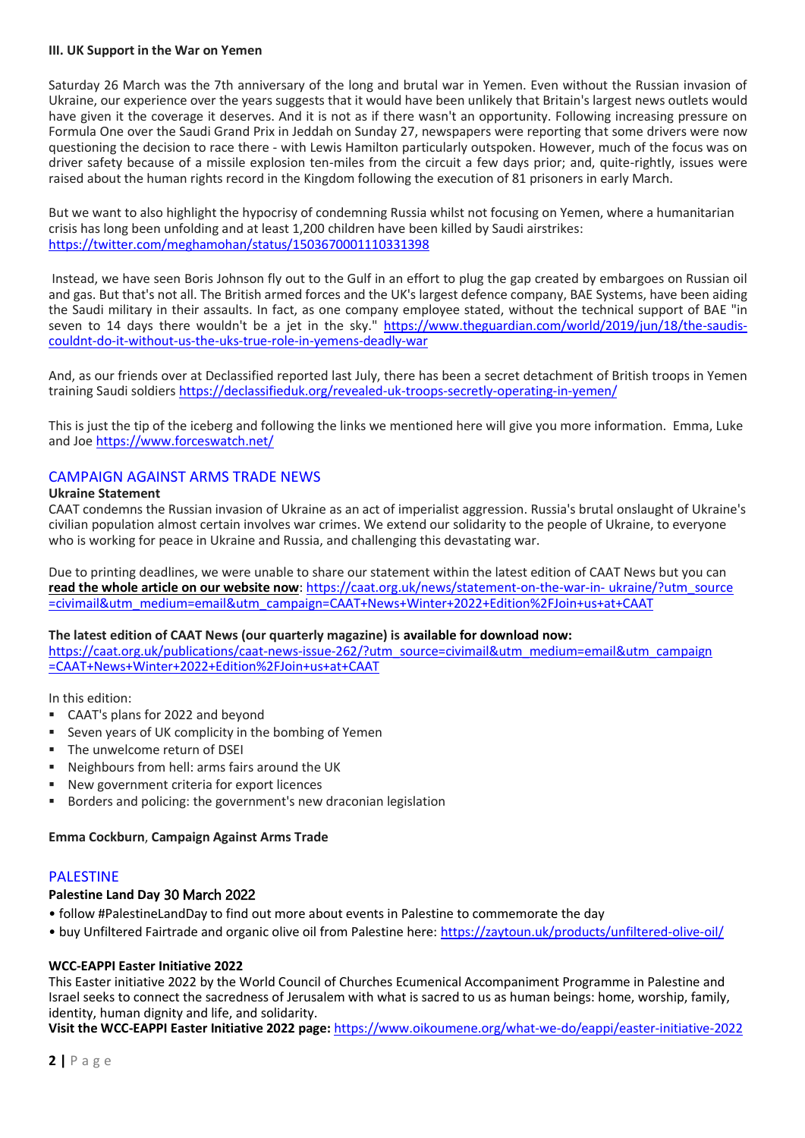#### **III. UK Support in the War on Yemen**

Saturday 26 March was the 7th anniversary of the long and brutal war in Yemen. Even without the Russian invasion of Ukraine, our experience over the years suggests that it would have been unlikely that Britain's largest news outlets would have given it the coverage it deserves. And it is not as if there wasn't an opportunity. Following increasing pressure on Formula One over the Saudi Grand Prix in Jeddah on Sunday 27, newspapers were reporting that some drivers were now questioning the decision to race there - with Lewis Hamilton particularly outspoken. However, much of the focus was on driver safety because of a missile explosion ten-miles from the circuit a few days prior; and, quite-rightly, issues were raised about the human rights record in the Kingdom following the execution of 81 prisoners in early March.

But we want to also highlight the hypocrisy of condemning Russia whilst not focusing on Yemen, where a humanitarian crisis has long been unfolding and at least 1,200 children have been killed by Saudi airstrikes: <https://twitter.com/meghamohan/status/1503670001110331398>

Instead, we have seen Boris Johnson fly out to the Gulf in an effort to plug the gap created by embargoes on Russian oil and gas. But that's not all. The British armed forces and the UK's largest defence company, BAE Systems, have been aiding the Saudi military in their assaults. In fact, as one company employee stated, without the technical support of BAE "in seven to 14 days there wouldn't be a jet in the sky." [https://www.theguardian.com/world/2019/jun/18/the-saudis](https://www.theguardian.com/world/2019/jun/18/the-saudis-couldnt-do-it-without-us-the-uks-true-role-in-yemens-deadly-war)[couldnt-do-it-without-us-the-uks-true-role-in-yemens-deadly-war](https://www.theguardian.com/world/2019/jun/18/the-saudis-couldnt-do-it-without-us-the-uks-true-role-in-yemens-deadly-war)

And, as our friends over at Declassified reported last July, there has been a secret detachment of British troops in Yemen training Saudi soldiers <https://declassifieduk.org/revealed-uk-troops-secretly-operating-in-yemen/>

This is just the tip of the iceberg and following the links we mentioned here will give you more information. Emma, Luke and Joe <https://www.forceswatch.net/>

## CAMPAIGN AGAINST ARMS TRADE NEWS

#### **Ukraine Statement**

CAAT condemns the Russian invasion of Ukraine as an act of imperialist aggression. Russia's brutal onslaught of Ukraine's civilian population almost certain involves war crimes. We extend our solidarity to the people of Ukraine, to everyone who is working for peace in Ukraine and Russia, and challenging this devastating war.

Due to printing deadlines, we were unable to share our statement within the latest edition of CAAT News but you can **[read the whole article on our website now](https://crm.caat.org.uk/civicrm/mailing/url?u=5676&qid=3236876)**: [https://caat.org.uk/news/statement-on-the-war-in-](https://caat.org.uk/news/statement-on-the-war-in-%20ukraine/?utm_source%20=civimail&utm_medium=email&utm_campaign=CAAT+News+Winter+2022+Edition%2FJoin+us+at+CAAT) ukraine/?utm\_source [=civimail&utm\\_medium=email&utm\\_campaign=CAAT+News+Winter+2022+Edition%2FJoin+us+at+CAAT](https://caat.org.uk/news/statement-on-the-war-in-%20ukraine/?utm_source%20=civimail&utm_medium=email&utm_campaign=CAAT+News+Winter+2022+Edition%2FJoin+us+at+CAAT)

#### **The latest edition of CAAT News (our quarterly magazine) is available for download now:**

[https://caat.org.uk/publications/caat-news-issue-262/?utm\\_source=civimail&utm\\_medium=email&utm\\_campaign](https://caat.org.uk/publications/caat-news-issue-262/?utm_source=civimail&utm_medium=email&utm_campaign%20=CAAT+News+Winter+2022+Edition%2FJoin+us+at+CAAT)  [=CAAT+News+Winter+2022+Edition%2FJoin+us+at+CAAT](https://caat.org.uk/publications/caat-news-issue-262/?utm_source=civimail&utm_medium=email&utm_campaign%20=CAAT+News+Winter+2022+Edition%2FJoin+us+at+CAAT)

In this edition:

- CAAT's plans for 2022 and beyond
- Seven years of UK complicity in the bombing of Yemen
- The unwelcome return of DSEI
- Neighbours from hell: arms fairs around the UK
- New government criteria for export licences
- Borders and policing: the government's new draconian legislation

#### **Emma Cockburn**, **Campaign Against Arms Trade**

#### PALESTINE

#### **Palestine Land Day** 30 March 2022

- follow #PalestineLandDay to find out more about events in Palestine to commemorate the day
- buy Unfiltered Fairtrade and organic olive oil from Palestine here: <https://zaytoun.uk/products/unfiltered-olive-oil/>

#### **WCC-EAPPI Easter Initiative 2022**

This Easter initiative 2022 by the World Council of Churches Ecumenical Accompaniment Programme in Palestine and Israel seeks to connect the sacredness of Jerusalem with what is sacred to us as human beings: home, worship, family, identity, human dignity and life, and solidarity.

**Visit the WCC-EAPPI Easter Initiative 2022 page:** <https://www.oikoumene.org/what-we-do/eappi/easter-initiative-2022>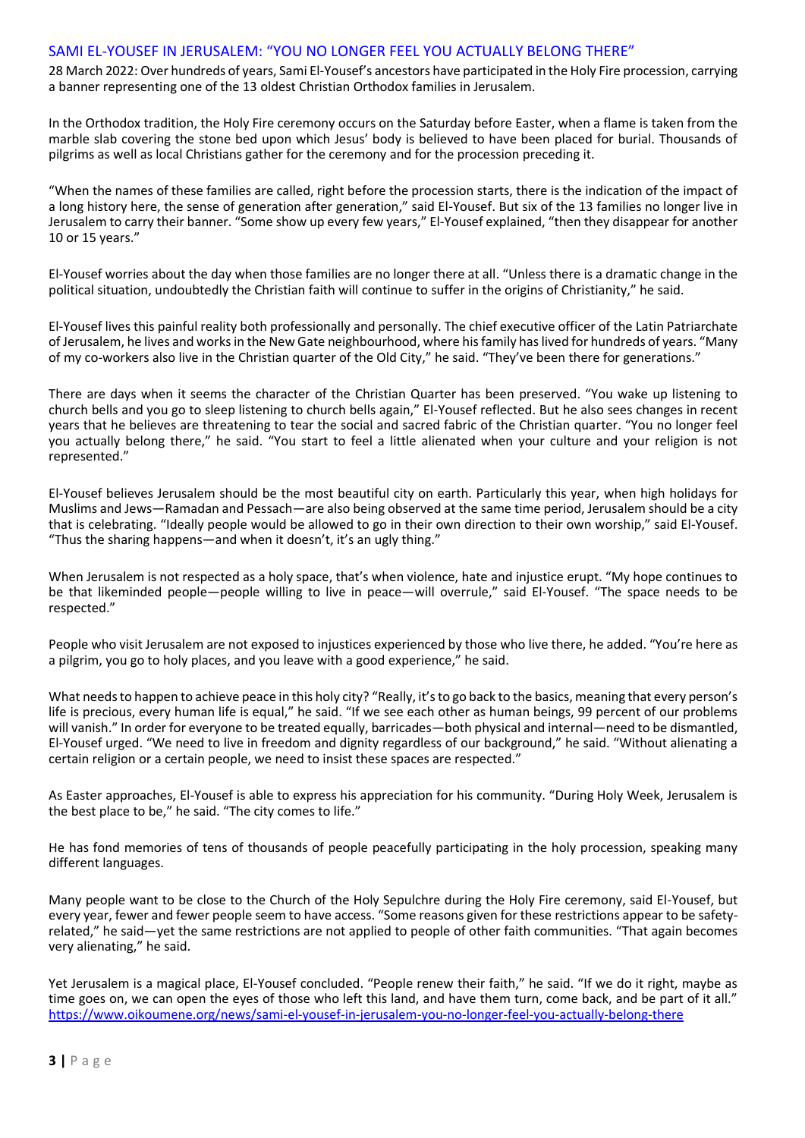## SAMI EL-YOUSEF IN JERUSALEM: "YOU NO LONGER FEEL YOU ACTUALLY BELONG THERE"

28 March 2022: Over hundreds of years, Sami El-Yousef's ancestors have participated in the Holy Fire procession, carrying a banner representing one of the 13 oldest Christian Orthodox families in Jerusalem.

In the Orthodox tradition, the Holy Fire ceremony occurs on the Saturday before Easter, when a flame is taken from the marble slab covering the stone bed upon which Jesus' body is believed to have been placed for burial. Thousands of pilgrims as well as local Christians gather for the ceremony and for the procession preceding it.

"When the names of these families are called, right before the procession starts, there is the indication of the impact of a long history here, the sense of generation after generation," said El-Yousef. But six of the 13 families no longer live in Jerusalem to carry their banner. "Some show up every few years," El-Yousef explained, "then they disappear for another 10 or 15 years."

El-Yousef worries about the day when those families are no longer there at all. "Unless there is a dramatic change in the political situation, undoubtedly the Christian faith will continue to suffer in the origins of Christianity," he said.

El-Yousef lives this painful reality both professionally and personally. The chief executive officer of the Latin Patriarchate of Jerusalem, he lives and works in the New Gate neighbourhood, where his family has lived for hundreds of years. "Many of my co-workers also live in the Christian quarter of the Old City," he said. "They've been there for generations."

There are days when it seems the character of the Christian Quarter has been preserved. "You wake up listening to church bells and you go to sleep listening to church bells again," El-Yousef reflected. But he also sees changes in recent years that he believes are threatening to tear the social and sacred fabric of the Christian quarter. "You no longer feel you actually belong there," he said. "You start to feel a little alienated when your culture and your religion is not represented."

El-Yousef believes Jerusalem should be the most beautiful city on earth. Particularly this year, when high holidays for Muslims and Jews—Ramadan and Pessach—are also being observed at the same time period, Jerusalem should be a city that is celebrating. "Ideally people would be allowed to go in their own direction to their own worship," said El-Yousef. "Thus the sharing happens—and when it doesn't, it's an ugly thing."

When Jerusalem is not respected as a holy space, that's when violence, hate and injustice erupt. "My hope continues to be that likeminded people—people willing to live in peace—will overrule," said El-Yousef. "The space needs to be respected."

People who visit Jerusalem are not exposed to injustices experienced by those who live there, he added. "You're here as a pilgrim, you go to holy places, and you leave with a good experience," he said.

What needs to happen to achieve peace in this holy city? "Really, it's to go back to the basics, meaning that every person's life is precious, every human life is equal," he said. "If we see each other as human beings, 99 percent of our problems will vanish." In order for everyone to be treated equally, barricades—both physical and internal—need to be dismantled, El-Yousef urged. "We need to live in freedom and dignity regardless of our background," he said. "Without alienating a certain religion or a certain people, we need to insist these spaces are respected."

As Easter approaches, El-Yousef is able to express his appreciation for his community. "During Holy Week, Jerusalem is the best place to be," he said. "The city comes to life."

He has fond memories of tens of thousands of people peacefully participating in the holy procession, speaking many different languages.

Many people want to be close to the Church of the Holy Sepulchre during the Holy Fire ceremony, said El-Yousef, but every year, fewer and fewer people seem to have access. "Some reasons given for these restrictions appear to be safetyrelated," he said—yet the same restrictions are not applied to people of other faith communities. "That again becomes very alienating," he said.

Yet Jerusalem is a magical place, El-Yousef concluded. "People renew their faith," he said. "If we do it right, maybe as time goes on, we can open the eyes of those who left this land, and have them turn, come back, and be part of it all." https://www.oikoumene.org/news/sami-el-yousef-in-jerusalem-you-no-longer-feel-you-actually-belong-there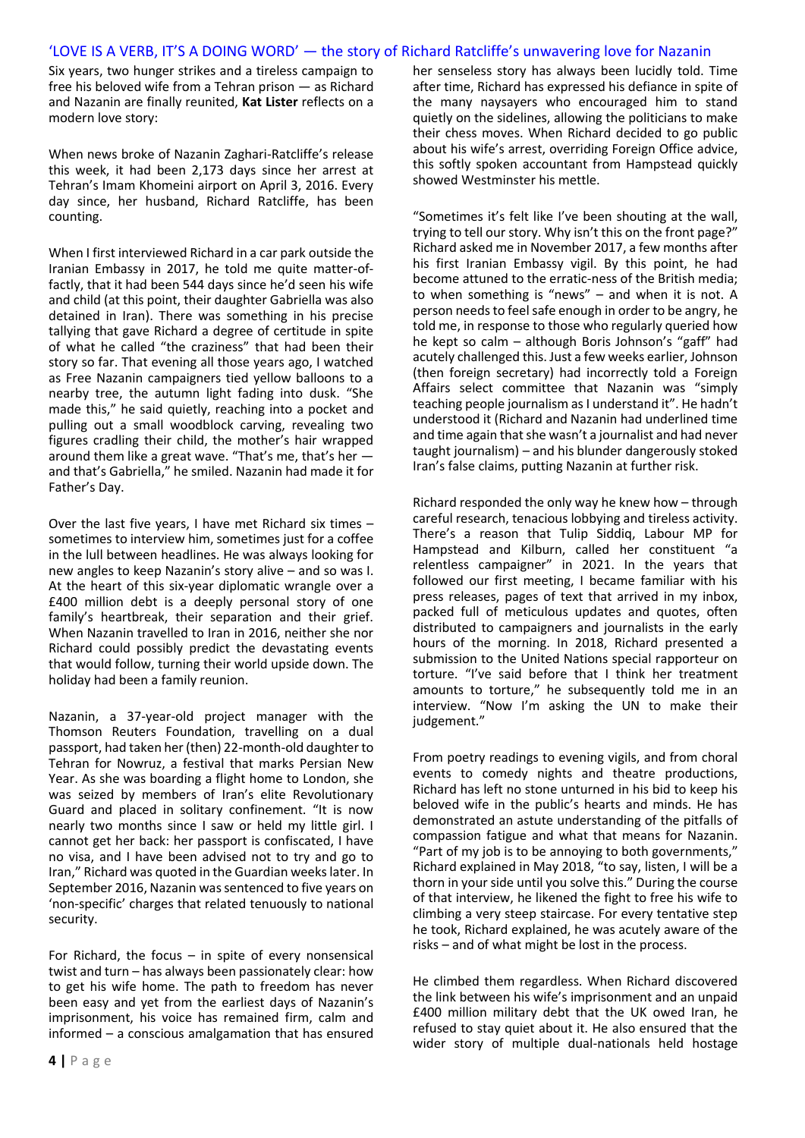## 'LOVE IS A VERB, IT'S A DOING WORD' — the story of Richard Ratcliffe's unwavering love for Nazanin

Six years, two hunger strikes and a tireless campaign to free his beloved wife from a Tehran prison — as Richard and Nazanin are finally reunited, **Kat Lister** reflects on a modern love story:

When news broke of Nazanin Zaghari-Ratcliffe's release this week, it had been 2,173 days since her arrest at Tehran's Imam Khomeini airport on April 3, 2016. Every day since, her husband, Richard Ratcliffe, has been counting.

When I first interviewed Richard in a car park outside the Iranian Embassy in 2017, he told me quite matter-offactly, that it had been 544 days since he'd seen his wife and child (at this point, their daughter Gabriella was also detained in Iran). There was something in his precise tallying that gave Richard a degree of certitude in spite of what he called "the craziness" that had been their story so far. That evening all those years ago, I watched as Free Nazanin campaigners tied yellow balloons to a nearby tree, the autumn light fading into dusk. "She made this," he said quietly, reaching into a pocket and pulling out a small woodblock carving, revealing two figures cradling their child, the mother's hair wrapped around them like a great wave. "That's me, that's her and that's Gabriella," he smiled. Nazanin had made it for Father's Day.

Over the last five years, I have met Richard six times – sometimes to interview him, sometimes just for a coffee in the lull between headlines. He was always looking for new angles to keep Nazanin's story alive – and so was I. At the heart of this six-year diplomatic wrangle over a £400 million debt is a deeply personal story of one family's heartbreak, their separation and their grief. When Nazanin travelled to Iran in 2016, neither she nor Richard could possibly predict the devastating events that would follow, turning their world upside down. The holiday had been a family reunion.

Nazanin, a 37-year-old project manager with the Thomson Reuters Foundation, travelling on a dual passport, had taken her (then) 22-month-old daughter to Tehran for Nowruz, a festival that marks Persian New Year. As she was boarding a flight home to London, she was seized by members of Iran's elite Revolutionary Guard and placed in solitary confinement. "It is now nearly two months since I saw or held my little girl. I cannot get her back: her passport is confiscated, I have no visa, and I have been advised not to try and go to Iran," Richard was quoted in the Guardian weeks later. In September 2016, Nazanin was sentenced to five years on 'non-specific' charges that related tenuously to national security.

For Richard, the focus  $-$  in spite of every nonsensical twist and turn – has always been passionately clear: how to get his wife home. The path to freedom has never been easy and yet from the earliest days of Nazanin's imprisonment, his voice has remained firm, calm and informed – a conscious amalgamation that has ensured

**4 |** P a g e

her senseless story has always been lucidly told. Time after time, Richard has expressed his defiance in spite of the many naysayers who encouraged him to stand quietly on the sidelines, allowing the politicians to make their chess moves. When Richard decided to go public about his wife's arrest, overriding Foreign Office advice, this softly spoken accountant from Hampstead quickly showed Westminster his mettle.

"Sometimes it's felt like I've been shouting at the wall, trying to tell our story. Why isn't this on the front page?" Richard asked me in November 2017, a few months after his first Iranian Embassy vigil. By this point, he had become attuned to the erratic-ness of the British media; to when something is "news" – and when it is not. A person needs to feel safe enough in order to be angry, he told me, in response to those who regularly queried how he kept so calm – although Boris Johnson's "gaff" had acutely challenged this. Just a few weeks earlier, Johnson (then foreign secretary) had incorrectly told a Foreign Affairs select committee that Nazanin was "simply teaching people journalism as I understand it". He hadn't understood it (Richard and Nazanin had underlined time and time again that she wasn't a journalist and had never taught journalism) – and his blunder dangerously stoked Iran's false claims, putting Nazanin at further risk.

Richard responded the only way he knew how – through careful research, tenacious lobbying and tireless activity. There's a reason that Tulip Siddiq, Labour MP for Hampstead and Kilburn, called her constituent "a relentless campaigner" in 2021. In the years that followed our first meeting, I became familiar with his press releases, pages of text that arrived in my inbox, packed full of meticulous updates and quotes, often distributed to campaigners and journalists in the early hours of the morning. In 2018, Richard presented a submission to the United Nations special rapporteur on torture. "I've said before that I think her treatment amounts to torture," he subsequently told me in an interview. "Now I'm asking the UN to make their judgement."

From poetry readings to evening vigils, and from choral events to comedy nights and theatre productions, Richard has left no stone unturned in his bid to keep his beloved wife in the public's hearts and minds. He has demonstrated an astute understanding of the pitfalls of compassion fatigue and what that means for Nazanin. "Part of my job is to be annoying to both governments," Richard explained in May 2018, "to say, listen, I will be a thorn in your side until you solve this." During the course of that interview, he likened the fight to free his wife to climbing a very steep staircase. For every tentative step he took, Richard explained, he was acutely aware of the risks – and of what might be lost in the process.

He climbed them regardless. When Richard discovered the link between his wife's imprisonment and an unpaid £400 million military debt that the UK owed Iran, he refused to stay quiet about it. He also ensured that the wider story of multiple dual-nationals held hostage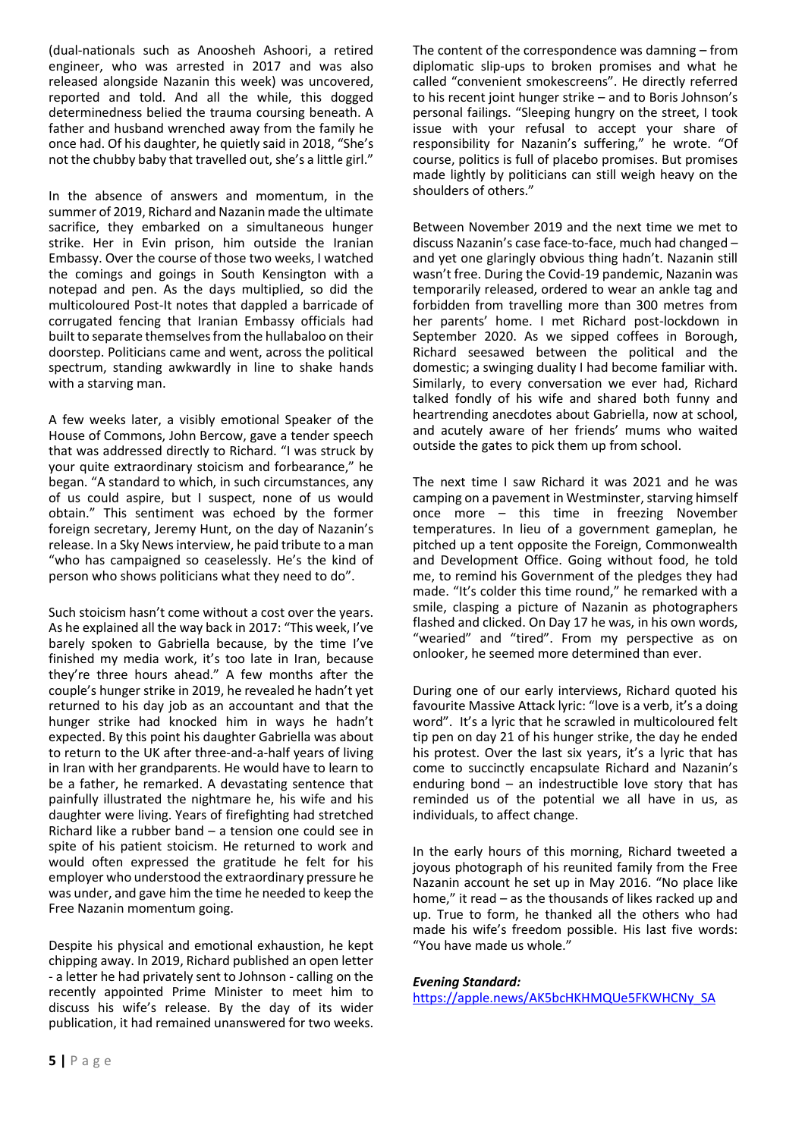(dual-nationals such as Anoosheh Ashoori, a retired engineer, who was arrested in 2017 and was also released alongside Nazanin this week) was uncovered, reported and told. And all the while, this dogged determinedness belied the trauma coursing beneath. A father and husband wrenched away from the family he once had. Of his daughter, he quietly said in 2018, "She's not the chubby baby that travelled out, she's a little girl."

In the absence of answers and momentum, in the summer of 2019, Richard and Nazanin made the ultimate sacrifice, they embarked on a simultaneous hunger strike. Her in Evin prison, him outside the Iranian Embassy. Over the course of those two weeks, I watched the comings and goings in South Kensington with a notepad and pen. As the days multiplied, so did the multicoloured Post-It notes that dappled a barricade of corrugated fencing that Iranian Embassy officials had built to separate themselves from the hullabaloo on their doorstep. Politicians came and went, across the political spectrum, standing awkwardly in line to shake hands with a starving man.

A few weeks later, a visibly emotional Speaker of the House of Commons, John Bercow, gave a tender speech that was addressed directly to Richard. "I was struck by your quite extraordinary stoicism and forbearance," he began. "A standard to which, in such circumstances, any of us could aspire, but I suspect, none of us would obtain." This sentiment was echoed by the former foreign secretary, Jeremy Hunt, on the day of Nazanin's release. In a Sky News interview, he paid tribute to a man "who has campaigned so ceaselessly. He's the kind of person who shows politicians what they need to do".

Such stoicism hasn't come without a cost over the years. As he explained all the way back in 2017: "This week, I've barely spoken to Gabriella because, by the time I've finished my media work, it's too late in Iran, because they're three hours ahead." A few months after the couple's hunger strike in 2019, he revealed he hadn't yet returned to his day job as an accountant and that the hunger strike had knocked him in ways he hadn't expected. By this point his daughter Gabriella was about to return to the UK after three-and-a-half years of living in Iran with her grandparents. He would have to learn to be a father, he remarked. A devastating sentence that painfully illustrated the nightmare he, his wife and his daughter were living. Years of firefighting had stretched Richard like a rubber band – a tension one could see in spite of his patient stoicism. He returned to work and would often expressed the gratitude he felt for his employer who understood the extraordinary pressure he was under, and gave him the time he needed to keep the Free Nazanin momentum going.

Despite his physical and emotional exhaustion, he kept chipping away. In 2019, Richard published an open letter - a letter he had privately sent to Johnson - calling on the recently appointed Prime Minister to meet him to discuss his wife's release. By the day of its wider publication, it had remained unanswered for two weeks. The content of the correspondence was damning – from diplomatic slip-ups to broken promises and what he called "convenient smokescreens". He directly referred to his recent joint hunger strike – and to Boris Johnson's personal failings. "Sleeping hungry on the street, I took issue with your refusal to accept your share of responsibility for Nazanin's suffering," he wrote. "Of course, politics is full of placebo promises. But promises made lightly by politicians can still weigh heavy on the shoulders of others."

Between November 2019 and the next time we met to discuss Nazanin's case face-to-face, much had changed – and yet one glaringly obvious thing hadn't. Nazanin still wasn't free. During the Covid-19 pandemic, Nazanin was temporarily released, ordered to wear an ankle tag and forbidden from travelling more than 300 metres from her parents' home. I met Richard post-lockdown in September 2020. As we sipped coffees in Borough, Richard seesawed between the political and the domestic; a swinging duality I had become familiar with. Similarly, to every conversation we ever had, Richard talked fondly of his wife and shared both funny and heartrending anecdotes about Gabriella, now at school, and acutely aware of her friends' mums who waited outside the gates to pick them up from school.

The next time I saw Richard it was 2021 and he was camping on a pavement in Westminster, starving himself once more – this time in freezing November temperatures. In lieu of a government gameplan, he pitched up a tent opposite the Foreign, Commonwealth and Development Office. Going without food, he told me, to remind his Government of the pledges they had made. "It's colder this time round," he remarked with a smile, clasping a picture of Nazanin as photographers flashed and clicked. On Day 17 he was, in his own words, "wearied" and "tired". From my perspective as on onlooker, he seemed more determined than ever.

During one of our early interviews, Richard quoted his favourite Massive Attack lyric: "love is a verb, it's a doing word". It's a lyric that he scrawled in multicoloured felt tip pen on day 21 of his hunger strike, the day he ended his protest. Over the last six years, it's a lyric that has come to succinctly encapsulate Richard and Nazanin's enduring bond – an indestructible love story that has reminded us of the potential we all have in us, as individuals, to affect change.

In the early hours of this morning, Richard tweeted a joyous photograph of his reunited family from the Free Nazanin account he set up in May 2016. "No place like home," it read – as the thousands of likes racked up and up. True to form, he thanked all the others who had made his wife's freedom possible. His last five words: "You have made us whole."

#### *Evening Standard:*

https://apple.news/AK5bcHKHMQUe5FKWHCNy\_SA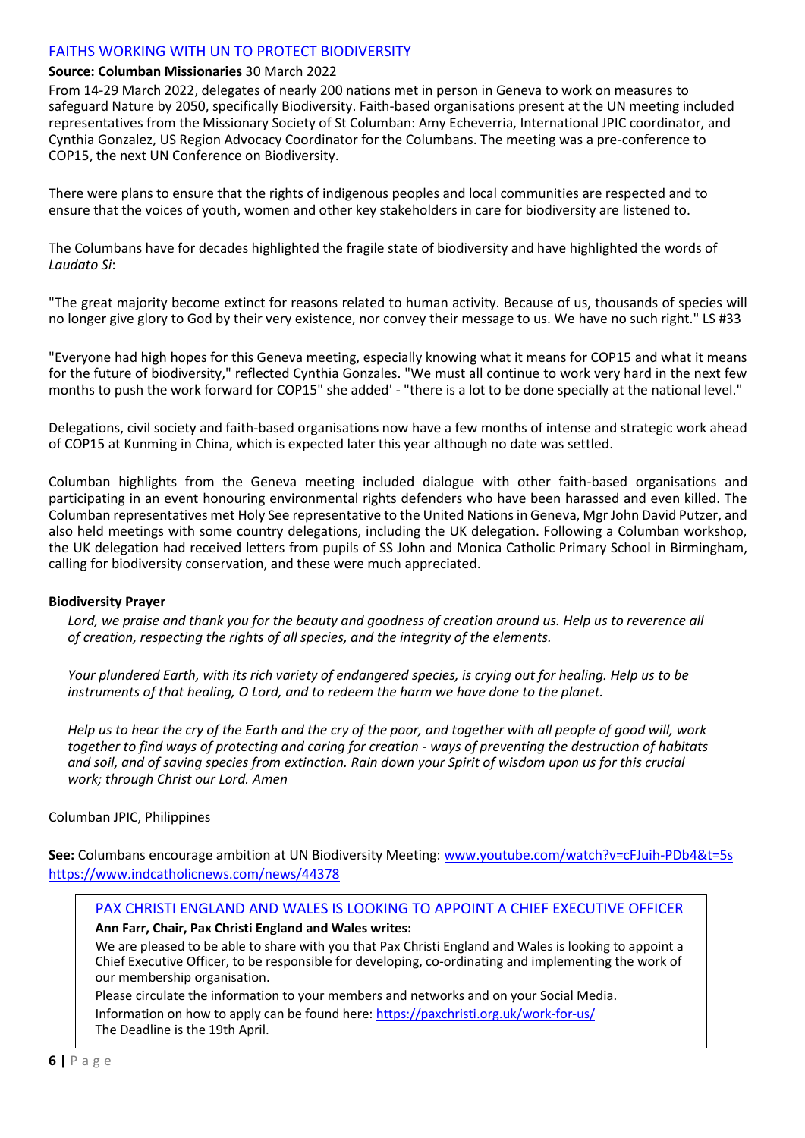## FAITHS WORKING WITH UN TO PROTECT BIODIVERSITY

## **Source: Columban Missionaries** 30 March 2022

From 14-29 March 2022, delegates of nearly 200 nations met in person in Geneva to work on measures to safeguard Nature by 2050, specifically Biodiversity. Faith-based organisations present at the UN meeting included representatives from the Missionary Society of St Columban: Amy Echeverria, International JPIC coordinator, and Cynthia Gonzalez, US Region Advocacy Coordinator for the Columbans. The meeting was a pre-conference to COP15, the next UN Conference on Biodiversity.

There were plans to ensure that the rights of indigenous peoples and local communities are respected and to ensure that the voices of youth, women and other key stakeholders in care for biodiversity are listened to.

The Columbans have for decades highlighted the fragile state of biodiversity and have highlighted the words of *Laudato Si*:

"The great majority become extinct for reasons related to human activity. Because of us, thousands of species will no longer give glory to God by their very existence, nor convey their message to us. We have no such right." LS #33

"Everyone had high hopes for this Geneva meeting, especially knowing what it means for COP15 and what it means for the future of biodiversity," reflected Cynthia Gonzales. "We must all continue to work very hard in the next few months to push the work forward for COP15" she added' - "there is a lot to be done specially at the national level."

Delegations, civil society and faith-based organisations now have a few months of intense and strategic work ahead of COP15 at Kunming in China, which is expected later this year although no date was settled.

Columban highlights from the Geneva meeting included dialogue with other faith-based organisations and participating in an event honouring environmental rights defenders who have been harassed and even killed. The Columban representatives met Holy See representative to the United Nations in Geneva, Mgr John David Putzer, and also held meetings with some country delegations, including the UK delegation. Following a Columban workshop, the UK delegation had received letters from pupils of SS John and Monica Catholic Primary School in Birmingham, calling for biodiversity conservation, and these were much appreciated.

#### **Biodiversity Prayer**

Lord, we praise and thank you for the beauty and goodness of creation around us. Help us to reverence all *of creation, respecting the rights of all species, and the integrity of the elements.*

*Your plundered Earth, with its rich variety of endangered species, is crying out for healing. Help us to be instruments of that healing, O Lord, and to redeem the harm we have done to the planet.*

*Help us to hear the cry of the Earth and the cry of the poor, and together with all people of good will, work together to find ways of protecting and caring for creation - ways of preventing the destruction of habitats and soil, and of saving species from extinction. Rain down your Spirit of wisdom upon us for this crucial work; through Christ our Lord. Amen*

## Columban JPIC, Philippines

**See:** Columbans encourage ambition at UN Biodiversity Meeting: [www.youtube.com/watch?v=cFJuih-PDb4&t=5s](http://www.youtube.com/watch?v=cFJuih-PDb4&t=5s) <https://www.indcatholicnews.com/news/44378>

PAX CHRISTI ENGLAND AND WALES IS LOOKING TO APPOINT A CHIEF EXECUTIVE OFFICER

#### **Ann Farr, Chair, Pax Christi England and Wales writes:**

We are pleased to be able to share with you that Pax Christi England and Wales is looking to appoint a Chief Executive Officer, to be responsible for developing, co-ordinating and implementing the work of our membership organisation.

Please circulate the information to your members and networks and on your Social Media. Information on how to apply can be found here: https://paxchristi.org.uk/work-for-us/ The Deadline is the 19th April.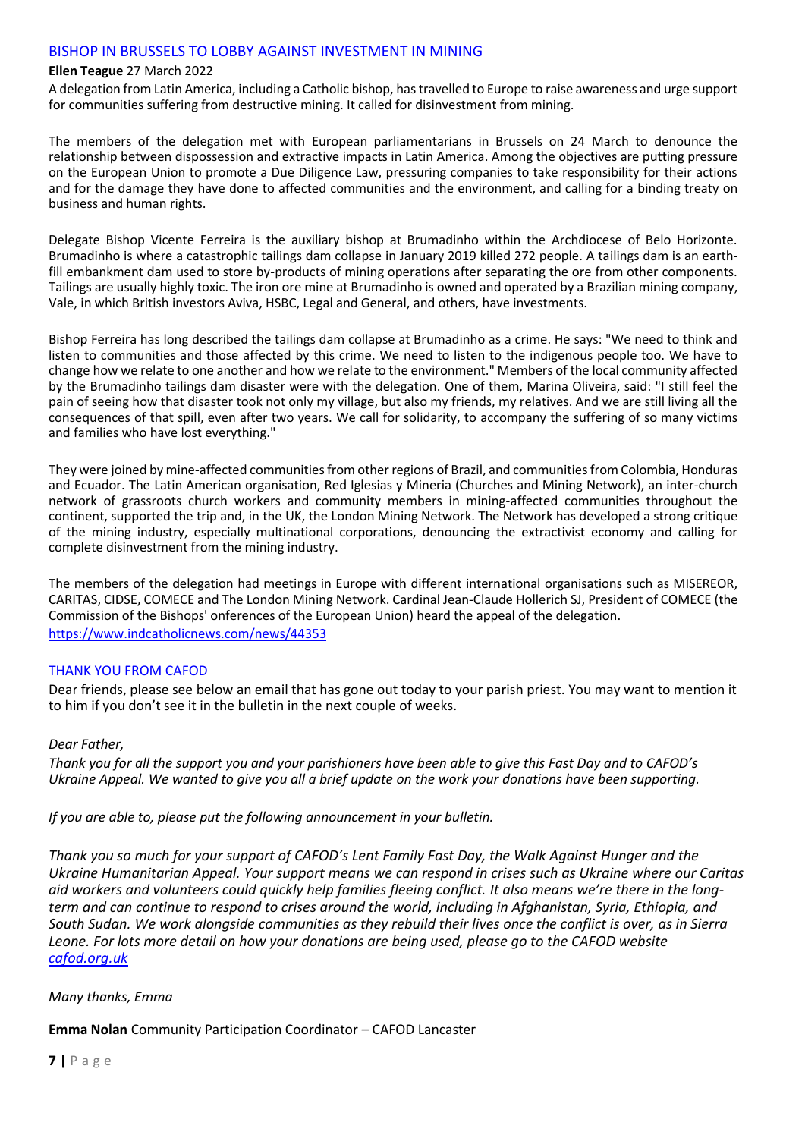## BISHOP IN BRUSSELS TO LOBBY AGAINST INVESTMENT IN MINING

#### **Ellen Teague** 27 March 2022

A delegation from Latin America, including a Catholic bishop, has travelled to Europe to raise awareness and urge support for communities suffering from destructive mining. It called for disinvestment from mining.

The members of the delegation met with European parliamentarians in Brussels on 24 March to denounce the relationship between dispossession and extractive impacts in Latin America. Among the objectives are putting pressure on the European Union to promote a Due Diligence Law, pressuring companies to take responsibility for their actions and for the damage they have done to affected communities and the environment, and calling for a binding treaty on business and human rights.

Delegate Bishop Vicente Ferreira is the auxiliary bishop at Brumadinho within the Archdiocese of Belo Horizonte. Brumadinho is where a catastrophic tailings dam collapse in January 2019 killed 272 people. A tailings dam is an earthfill embankment dam used to store by-products of mining operations after separating the ore from other components. Tailings are usually highly toxic. The iron ore mine at Brumadinho is owned and operated by a Brazilian mining company, Vale, in which British investors Aviva, HSBC, Legal and General, and others, have investments.

Bishop Ferreira has long described the tailings dam collapse at Brumadinho as a crime. He says: "We need to think and listen to communities and those affected by this crime. We need to listen to the indigenous people too. We have to change how we relate to one another and how we relate to the environment." Members of the local community affected by the Brumadinho tailings dam disaster were with the delegation. One of them, Marina Oliveira, said: "I still feel the pain of seeing how that disaster took not only my village, but also my friends, my relatives. And we are still living all the consequences of that spill, even after two years. We call for solidarity, to accompany the suffering of so many victims and families who have lost everything."

They were joined by mine-affected communities from other regions of Brazil, and communities from Colombia, Honduras and Ecuador. The Latin American organisation, Red Iglesias y Mineria (Churches and Mining Network), an inter-church network of grassroots church workers and community members in mining-affected communities throughout the continent, supported the trip and, in the UK, the London Mining Network. The Network has developed a strong critique of the mining industry, especially multinational corporations, denouncing the extractivist economy and calling for complete disinvestment from the mining industry.

The members of the delegation had meetings in Europe with different international organisations such as MISEREOR, CARITAS, CIDSE, COMECE and The London Mining Network. Cardinal Jean-Claude Hollerich SJ, President of COMECE (the Commission of the Bishops' onferences of the European Union) heard the appeal of the delegation. <https://www.indcatholicnews.com/news/44353>

## THANK YOU FROM CAFOD

Dear friends, please see below an email that has gone out today to your parish priest. You may want to mention it to him if you don't see it in the bulletin in the next couple of weeks.

#### *Dear Father,*

*Thank you for all the support you and your parishioners have been able to give this Fast Day and to CAFOD's Ukraine Appeal. We wanted to give you all a brief update on the work your donations have been supporting.*

*If you are able to, please put the following announcement in your bulletin.*

*Thank you so much for your support of CAFOD's Lent Family Fast Day, the Walk Against Hunger and the Ukraine Humanitarian Appeal. Your support means we can respond in crises such as Ukraine where our Caritas aid workers and volunteers could quickly help families fleeing conflict. It also means we're there in the longterm and can continue to respond to crises around the world, including in Afghanistan, Syria, Ethiopia, and South Sudan. We work alongside communities as they rebuild their lives once the conflict is over, as in Sierra Leone. For lots more detail on how your donations are being used, please go to the CAFOD website [cafod.org.uk](http://www.cafod.org.uk/)*

## *Many thanks, Emma*

**Emma Nolan** Community Participation Coordinator – CAFOD Lancaster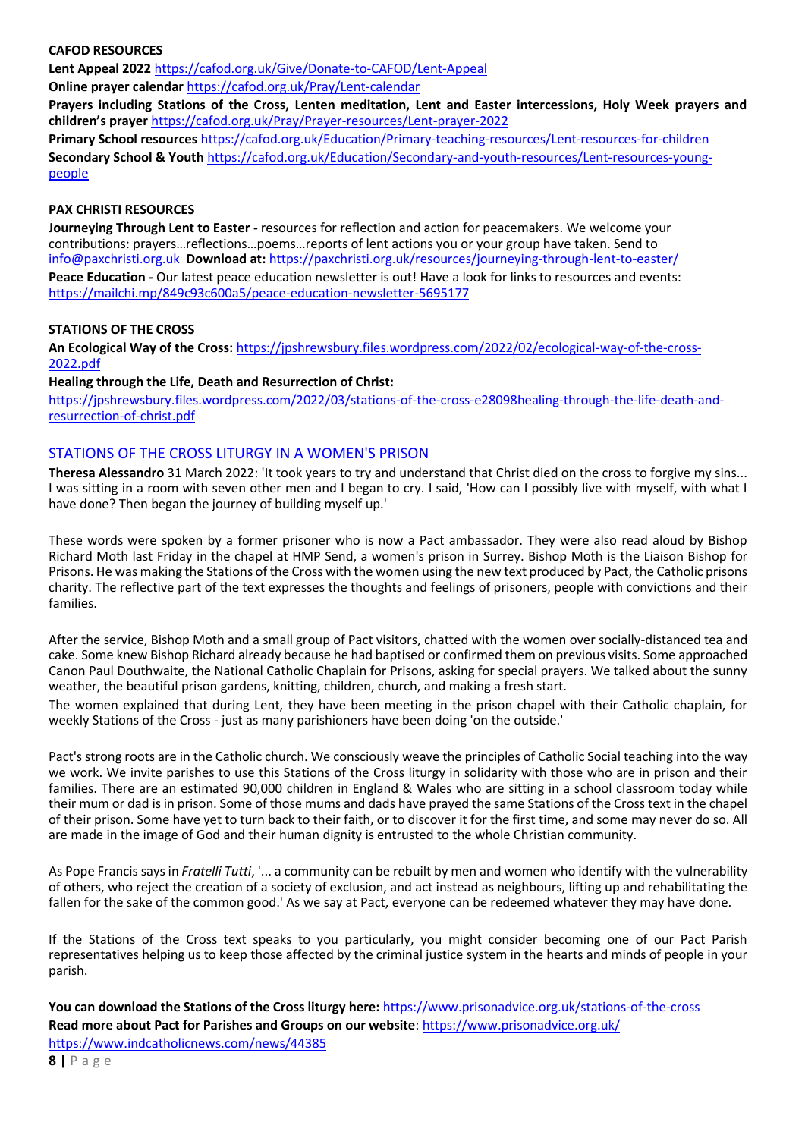## **CAFOD RESOURCES**

**Lent Appeal 2022** <https://cafod.org.uk/Give/Donate-to-CAFOD/Lent-Appeal> **Online prayer calendar** <https://cafod.org.uk/Pray/Lent-calendar>

**Prayers including Stations of the Cross, Lenten meditation, Lent and Easter intercessions, Holy Week prayers and children's prayer** <https://cafod.org.uk/Pray/Prayer-resources/Lent-prayer-2022>

**Primary School resources** <https://cafod.org.uk/Education/Primary-teaching-resources/Lent-resources-for-children> **Secondary School & Youth** [https://cafod.org.uk/Education/Secondary-and-youth-resources/Lent-resources-young](https://cafod.org.uk/Education/Secondary-and-youth-resources/Lent-resources-young-people)[people](https://cafod.org.uk/Education/Secondary-and-youth-resources/Lent-resources-young-people)

### **PAX CHRISTI RESOURCES**

**Journeying Through Lent to Easter -** resources for reflection and action for peacemakers. We welcome your contributions: prayers…reflections…poems…reports of lent actions you or your group have taken. Send to [info@paxchristi.org.uk](mailto:info@paxchristi.org.uk) **Download at:** <https://paxchristi.org.uk/resources/journeying-through-lent-to-easter/> **Peace Education -** Our latest peace education newsletter is out! Have a look for links to resources and events: <https://mailchi.mp/849c93c600a5/peace-education-newsletter-5695177>

## **STATIONS OF THE CROSS**

**An Ecological Way of the Cross:** [https://jpshrewsbury.files.wordpress.com/2022/02/ecological-way-of-the-cross-](https://jpshrewsbury.files.wordpress.com/2022/02/ecological-way-of-the-cross-2022.pdf)[2022.pdf](https://jpshrewsbury.files.wordpress.com/2022/02/ecological-way-of-the-cross-2022.pdf)

### **Healing through the Life, Death and Resurrection of Christ:**

https://jpshrewsbury.files.wordpress.com/2022/03/stations-of-the-cross-e28098healing-through-the-life-death-andresurrection-of-christ.pdf

## STATIONS OF THE CROSS LITURGY IN A WOMEN'S PRISON

**Theresa Alessandro** 31 March 2022: 'It took years to try and understand that Christ died on the cross to forgive my sins... I was sitting in a room with seven other men and I began to cry. I said, 'How can I possibly live with myself, with what I have done? Then began the journey of building myself up.'

These words were spoken by a former prisoner who is now a Pact ambassador. They were also read aloud by Bishop Richard Moth last Friday in the chapel at HMP Send, a women's prison in Surrey. Bishop Moth is the Liaison Bishop for Prisons. He was making the Stations of the Cross with the women using the new text produced by Pact, the Catholic prisons charity. The reflective part of the text expresses the thoughts and feelings of prisoners, people with convictions and their families.

After the service, Bishop Moth and a small group of Pact visitors, chatted with the women over socially-distanced tea and cake. Some knew Bishop Richard already because he had baptised or confirmed them on previous visits. Some approached Canon Paul Douthwaite, the National Catholic Chaplain for Prisons, asking for special prayers. We talked about the sunny weather, the beautiful prison gardens, knitting, children, church, and making a fresh start.

The women explained that during Lent, they have been meeting in the prison chapel with their Catholic chaplain, for weekly Stations of the Cross - just as many parishioners have been doing 'on the outside.'

Pact's strong roots are in the Catholic church. We consciously weave the principles of Catholic Social teaching into the way we work. We invite parishes to use this Stations of the Cross liturgy in solidarity with those who are in prison and their families. There are an estimated 90,000 children in England & Wales who are sitting in a school classroom today while their mum or dad is in prison. Some of those mums and dads have prayed the same Stations of the Cross text in the chapel of their prison. Some have yet to turn back to their faith, or to discover it for the first time, and some may never do so. All are made in the image of God and their human dignity is entrusted to the whole Christian community.

As Pope Francis says in *Fratelli Tutti*, '... a community can be rebuilt by men and women who identify with the vulnerability of others, who reject the creation of a society of exclusion, and act instead as neighbours, lifting up and rehabilitating the fallen for the sake of the common good.' As we say at Pact, everyone can be redeemed whatever they may have done.

If the Stations of the Cross text speaks to you particularly, you might consider becoming one of our Pact Parish representatives helping us to keep those affected by the criminal justice system in the hearts and minds of people in your parish.

**You can download the Stations of the Cross liturgy here:** <https://www.prisonadvice.org.uk/stations-of-the-cross> **Read more about Pact for Parishes and Groups on our website**: <https://www.prisonadvice.org.uk/>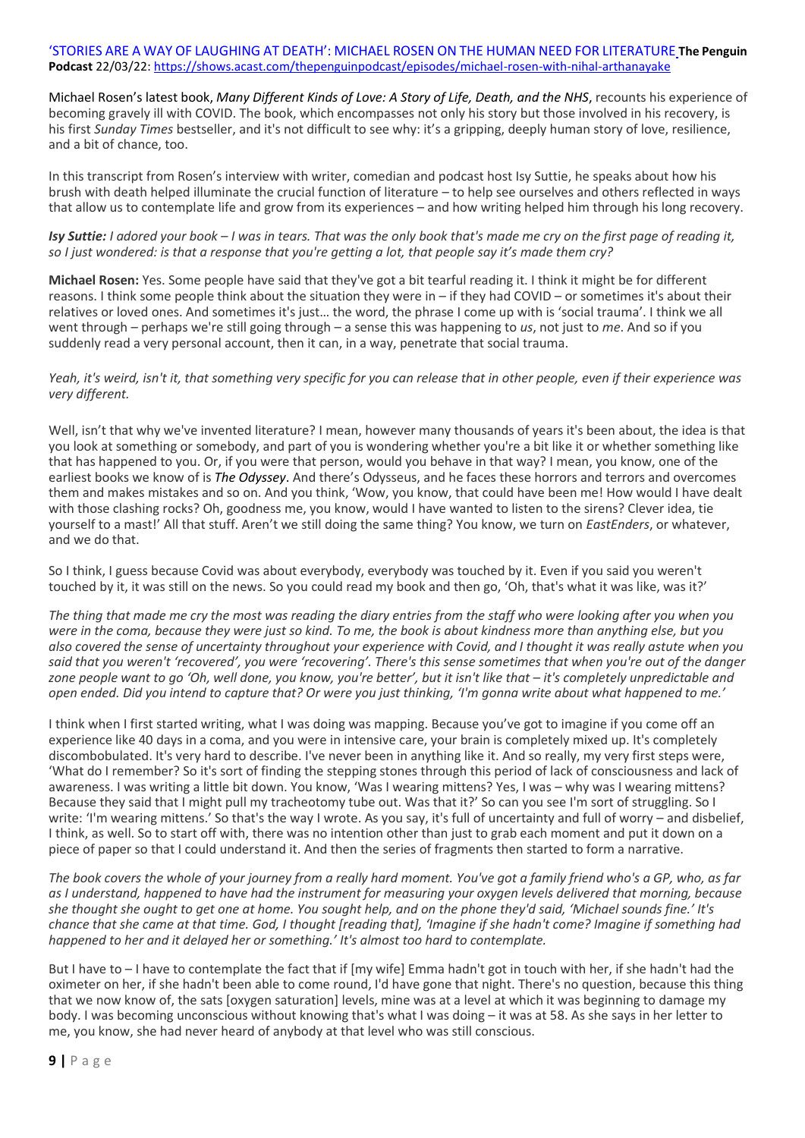#### 'STORIES ARE A WAY OF LAUGHING AT DEATH': MICHAEL ROSEN ON THE HUMAN NEED FOR LITERATURE **The Penguin Podcast** 22/03/22:<https://shows.acast.com/thepenguinpodcast/episodes/michael-rosen-with-nihal-arthanayake>

[Michael Rosen](https://www.penguin.co.uk/authors/1000418/michael-rosen.html)'s latest book, *[Many Different Kinds of Love: A Story of Life, Death, and the NHS](https://www.penguin.co.uk/books/1443347/many-different-kinds-of-love/9781529109467.html)*, recounts his experience of becoming gravely ill with COVID. The book, which encompasses not only his story but those involved in his recovery, is his first *Sunday Times* bestseller, and it's not difficult to see why: it's a gripping, deeply human story of love, resilience, and a bit of chance, too.

In this transcript from Rosen's interview with writer, comedian and podcast host Isy Suttie, he speaks about how his brush with death helped illuminate the crucial function of literature – to help see ourselves and others reflected in ways that allow us to contemplate life and grow from its experiences – and how writing helped him through his long recovery.

*Isy Suttie: I adored your book – I was in tears. That was the only book that's made me cry on the first page of reading it, so I just wondered: is that a response that you're getting a lot, that people say it's made them cry?*

**Michael Rosen:** Yes. Some people have said that they've got a bit tearful reading it. I think it might be for different reasons. I think some people think about the situation they were in – if they had COVID – or sometimes it's about their relatives or loved ones. And sometimes it's just… the word, the phrase I come up with is 'social trauma'. I think we all went through – perhaps we're still going through – a sense this was happening to *us*, not just to *me*. And so if you suddenly read a very personal account, then it can, in a way, penetrate that social trauma.

*Yeah, it's weird, isn't it, that something very specific for you can release that in other people, even if their experience was very different.*

Well, isn't that why we've invented literature? I mean, however many thousands of years it's been about, the idea is that you look at something or somebody, and part of you is wondering whether you're a bit like it or whether something like that has happened to you. Or, if you were that person, would you behave in that way? I mean, you know, one of the earliest books we know of is *[The Odyssey](https://www.penguin.co.uk/books/23901/the-odyssey/9780140268867.html)*. And there's Odysseus, and he faces these horrors and terrors and overcomes them and makes mistakes and so on. And you think, 'Wow, you know, that could have been me! How would I have dealt with those clashing rocks? Oh, goodness me, you know, would I have wanted to listen to the sirens? Clever idea, tie yourself to a mast!' All that stuff. Aren't we still doing the same thing? You know, we turn on *EastEnders*, or whatever, and we do that.

So I think, I guess because Covid was about everybody, everybody was touched by it. Even if you said you weren't touched by it, it was still on the news. So you could read my book and then go, 'Oh, that's what it was like, was it?'

*The thing that made me cry the most was reading the diary entries from the staff who were looking after you when you were in the coma, because they were just so kind. To me, the book is about kindness more than anything else, but you also covered the sense of uncertainty throughout your experience with Covid, and I thought it was really astute when you said that you weren't 'recovered', you were 'recovering'. There's this sense sometimes that when you're out of the danger zone people want to go 'Oh, well done, you know, you're better', but it isn't like that – it's completely unpredictable and open ended. Did you intend to capture that? Or were you just thinking, 'I'm gonna write about what happened to me.'*

I think when I first started writing, what I was doing was mapping. Because you've got to imagine if you come off an experience like 40 days in a coma, and you were in intensive care, your brain is completely mixed up. It's completely discombobulated. It's very hard to describe. I've never been in anything like it. And so really, my very first steps were, 'What do I remember? So it's sort of finding the stepping stones through this period of lack of consciousness and lack of awareness. I was writing a little bit down. You know, 'Was I wearing mittens? Yes, I was – why was I wearing mittens? Because they said that I might pull my tracheotomy tube out. Was that it?' So can you see I'm sort of struggling. So I write: 'I'm wearing mittens.' So that's the way I wrote. As you say, it's full of uncertainty and full of worry – and disbelief, I think, as well. So to start off with, there was no intention other than just to grab each moment and put it down on a piece of paper so that I could understand it. And then the series of fragments then started to form a narrative.

*The book covers the whole of your journey from a really hard moment. You've got a family friend who's a GP, who, as far as I understand, happened to have had the instrument for measuring your oxygen levels delivered that morning, because she thought she ought to get one at home. You sought help, and on the phone they'd said, 'Michael sounds fine.' It's chance that she came at that time. God, I thought [reading that], 'Imagine if she hadn't come? Imagine if something had happened to her and it delayed her or something.' It's almost too hard to contemplate.*

But I have to – I have to contemplate the fact that if [my wife] Emma hadn't got in touch with her, if she hadn't had the oximeter on her, if she hadn't been able to come round, I'd have gone that night. There's no question, because this thing that we now know of, the sats [oxygen saturation] levels, mine was at a level at which it was beginning to damage my body. I was becoming unconscious without knowing that's what I was doing – it was at 58. As she says in her letter to me, you know, she had never heard of anybody at that level who was still conscious.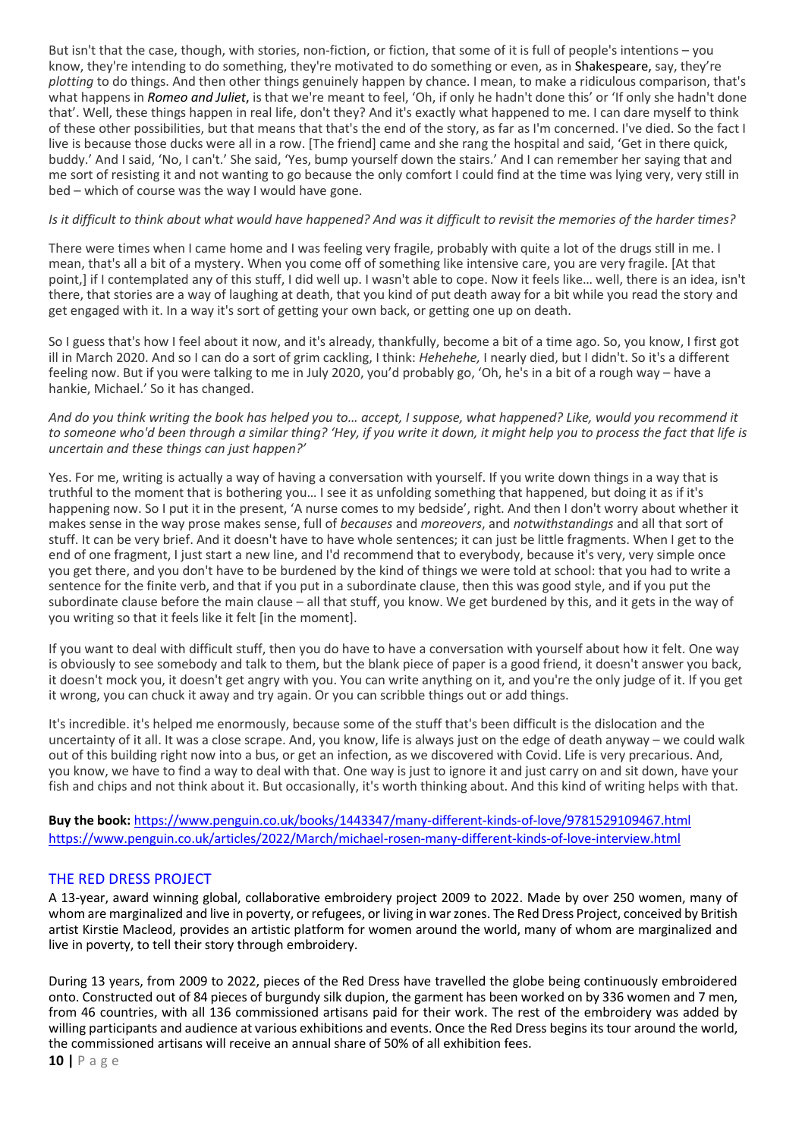But isn't that the case, though, with stories, non-fiction, or fiction, that some of it is full of people's intentions – you know, they're intending to do something, they're motivated to do something or even, as in [Shakespeare,](https://www.penguin.co.uk/authors/1008646/william-shakespeare.html) say, they're *plotting* to do things. And then other things genuinely happen by chance. I mean, to make a ridiculous comparison, that's what happens in *[Romeo and Juliet](https://www.penguin.co.uk/books/54572/romeo-and-juliet/9780141396477.html)*, is that we're meant to feel, 'Oh, if only he hadn't done this' or 'If only she hadn't done that'. Well, these things happen in real life, don't they? And it's exactly what happened to me. I can dare myself to think of these other possibilities, but that means that that's the end of the story, as far as I'm concerned. I've died. So the fact I live is because those ducks were all in a row. [The friend] came and she rang the hospital and said, 'Get in there quick, buddy.' And I said, 'No, I can't.' She said, 'Yes, bump yourself down the stairs.' And I can remember her saying that and me sort of resisting it and not wanting to go because the only comfort I could find at the time was lying very, very still in bed – which of course was the way I would have gone.

## *Is it difficult to think about what would have happened? And was it difficult to revisit the memories of the harder times?*

There were times when I came home and I was feeling very fragile, probably with quite a lot of the drugs still in me. I mean, that's all a bit of a mystery. When you come off of something like intensive care, you are very fragile. [At that point,] if I contemplated any of this stuff, I did well up. I wasn't able to cope. Now it feels like… well, there is an idea, isn't there, that stories are a way of laughing at death, that you kind of put death away for a bit while you read the story and get engaged with it. In a way it's sort of getting your own back, or getting one up on death.

So I guess that's how I feel about it now, and it's already, thankfully, become a bit of a time ago. So, you know, I first got ill in March 2020. And so I can do a sort of grim cackling, I think: *Hehehehe,* I nearly died, but I didn't. So it's a different feeling now. But if you were talking to me in July 2020, you'd probably go, 'Oh, he's in a bit of a rough way – have a hankie, Michael.' So it has changed.

*And do you think writing the book has helped you to… accept, I suppose, what happened? Like, would you recommend it to someone who'd been through a similar thing? 'Hey, if you write it down, it might help you to process the fact that life is uncertain and these things can just happen?'*

Yes. For me, writing is actually a way of having a conversation with yourself. If you write down things in a way that is truthful to the moment that is bothering you… I see it as unfolding something that happened, but doing it as if it's happening now. So I put it in the present, 'A nurse comes to my bedside', right. And then I don't worry about whether it makes sense in the way prose makes sense, full of *becauses* and *moreovers*, and *notwithstandings* and all that sort of stuff. It can be very brief. And it doesn't have to have whole sentences; it can just be little fragments. When I get to the end of one fragment, I just start a new line, and I'd recommend that to everybody, because it's very, very simple once you get there, and you don't have to be burdened by the kind of things we were told at school: that you had to write a sentence for the finite verb, and that if you put in a subordinate clause, then this was good style, and if you put the subordinate clause before the main clause – all that stuff, you know. We get burdened by this, and it gets in the way of you writing so that it feels like it felt [in the moment].

If you want to deal with difficult stuff, then you do have to have a conversation with yourself about how it felt. One way is obviously to see somebody and talk to them, but the blank piece of paper is a good friend, it doesn't answer you back, it doesn't mock you, it doesn't get angry with you. You can write anything on it, and you're the only judge of it. If you get it wrong, you can chuck it away and try again. Or you can scribble things out or add things.

It's incredible. it's helped me enormously, because some of the stuff that's been difficult is the dislocation and the uncertainty of it all. It was a close scrape. And, you know, life is always just on the edge of death anyway – we could walk out of this building right now into a bus, or get an infection, as we discovered with Covid. Life is very precarious. And, you know, we have to find a way to deal with that. One way is just to ignore it and just carry on and sit down, have your fish and chips and not think about it. But occasionally, it's worth thinking about. And this kind of writing helps with that.

**Buy the book:** <https://www.penguin.co.uk/books/1443347/many-different-kinds-of-love/9781529109467.html> <https://www.penguin.co.uk/articles/2022/March/michael-rosen-many-different-kinds-of-love-interview.html>

## THE RED DRESS PROJECT

A 13-year, award winning global, collaborative embroidery project 2009 to 2022. Made by over 250 women, many of whom are marginalized and live in poverty, or refugees, or living in war zones. The Red Dress Project, conceived by British artist Kirstie Macleod, provides an artistic platform for women around the world, many of whom are marginalized and live in poverty, to tell their story through embroidery.

During 13 years, from 2009 to 2022, pieces of the Red Dress have travelled the globe being continuously embroidered onto. Constructed out of 84 pieces of burgundy silk dupion, the garment has been worked on by 336 women and 7 men, from 46 countries, with all 136 commissioned artisans paid for their work. The rest of the embroidery was added by willing participants and audience at various exhibitions and events. Once the Red Dress begins its tour around the world, the commissioned artisans will receive an annual share of 50% of all exhibition fees.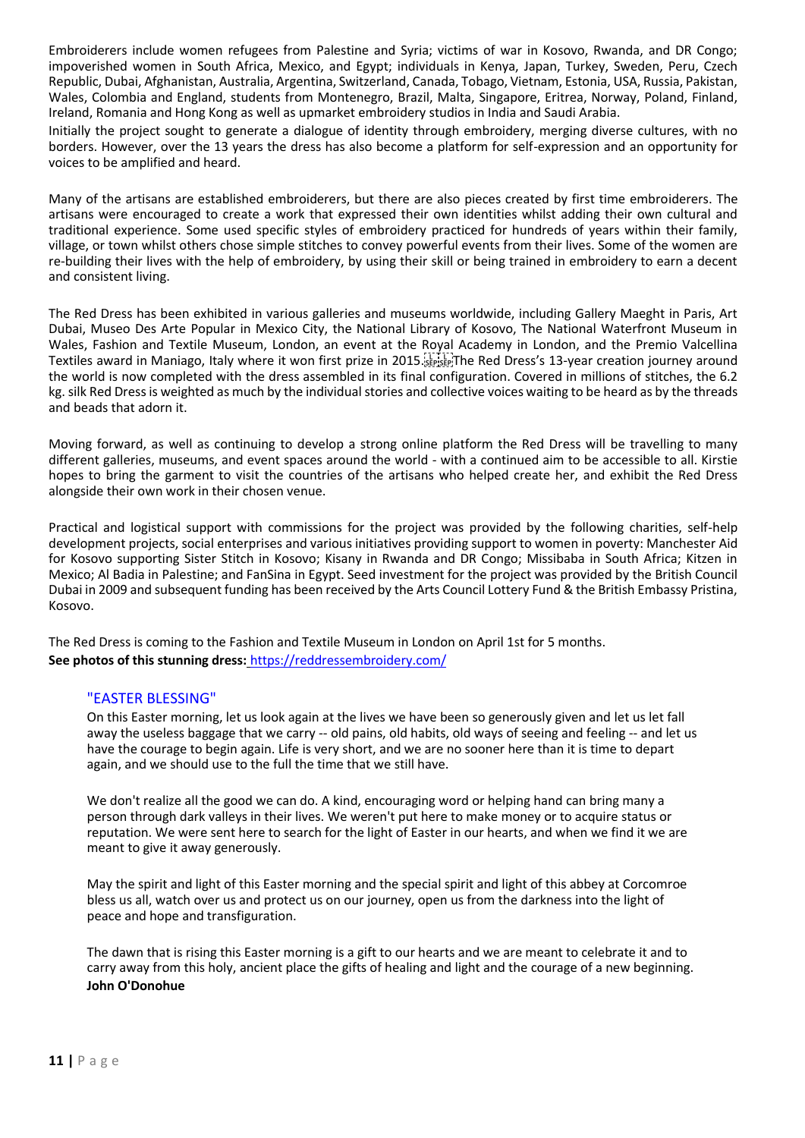Embroiderers include women refugees from Palestine and Syria; victims of war in Kosovo, Rwanda, and DR Congo; impoverished women in South Africa, Mexico, and Egypt; individuals in Kenya, Japan, Turkey, Sweden, Peru, Czech Republic, Dubai, Afghanistan, Australia, Argentina, Switzerland, Canada, Tobago, Vietnam, Estonia, USA, Russia, Pakistan, Wales, Colombia and England, students from Montenegro, Brazil, Malta, Singapore, Eritrea, Norway, Poland, Finland, Ireland, Romania and Hong Kong as well as upmarket embroidery studios in India and Saudi Arabia.

Initially the project sought to generate a dialogue of identity through embroidery, merging diverse cultures, with no borders. However, over the 13 years the dress has also become a platform for self-expression and an opportunity for voices to be amplified and heard.

Many of the artisans are established embroiderers, but there are also pieces created by first time embroiderers. The artisans were encouraged to create a work that expressed their own identities whilst adding their own cultural and traditional experience. Some used specific styles of embroidery practiced for hundreds of years within their family, village, or town whilst others chose simple stitches to convey powerful events from their lives. Some of the women are re-building their lives with the help of embroidery, by using their skill or being trained in embroidery to earn a decent and consistent living.

The Red Dress has been exhibited in various galleries and museums worldwide, including Gallery Maeght in Paris, Art Dubai, Museo Des Arte Popular in Mexico City, the National Library of Kosovo, The National Waterfront Museum in Wales, Fashion and Textile Museum, London, an event at the Royal Academy in London, and the Premio Valcellina Textiles award in Maniago, Italy where it won first prize in 2015. Fight The Red Dress's 13-year creation journey around the world is now completed with the dress assembled in its final configuration. Covered in millions of stitches, the 6.2 kg. silk Red Dress is weighted as much by the individual stories and collective voices waiting to be heard as by the threads and beads that adorn it.

Moving forward, as well as continuing to develop a strong online platform the Red Dress will be travelling to many different galleries, museums, and event spaces around the world - with a continued aim to be accessible to all. Kirstie hopes to bring the garment to visit the countries of the artisans who helped create her, and exhibit the Red Dress alongside their own work in their chosen venue.

Practical and logistical support with commissions for the project was provided by the following charities, self-help development projects, social enterprises and various initiatives providing support to women in poverty: Manchester Aid for Kosovo supporting Sister Stitch in Kosovo; Kisany in Rwanda and DR Congo; Missibaba in South Africa; Kitzen in Mexico; Al Badia in Palestine; and FanSina in Egypt. Seed investment for the project was provided by the British Council Dubai in 2009 and subsequent funding has been received by the Arts Council Lottery Fund & the British Embassy Pristina, Kosovo.

The Red Dress is coming to the Fashion and Textile Museum in London on April 1st for 5 months. **See photos of this stunning dress:** <https://reddressembroidery.com/>

#### "EASTER BLESSING"

On this Easter morning, let us look again at the lives we have been so generously given and let us let fall away the useless baggage that we carry -- old pains, old habits, old ways of seeing and feeling -- and let us have the courage to begin again. Life is very short, and we are no sooner here than it is time to depart again, and we should use to the full the time that we still have.

We don't realize all the good we can do. A kind, encouraging word or helping hand can bring many a person through dark valleys in their lives. We weren't put here to make money or to acquire status or reputation. We were sent here to search for the light of Easter in our hearts, and when we find it we are meant to give it away generously.

May the spirit and light of this Easter morning and the special spirit and light of this abbey at Corcomroe bless us all, watch over us and protect us on our journey, open us from the darkness into the light of peace and hope and transfiguration.

The dawn that is rising this Easter morning is a gift to our hearts and we are meant to celebrate it and to carry away from this holy, ancient place the gifts of healing and light and the courage of a new beginning. **John O'Donohue**